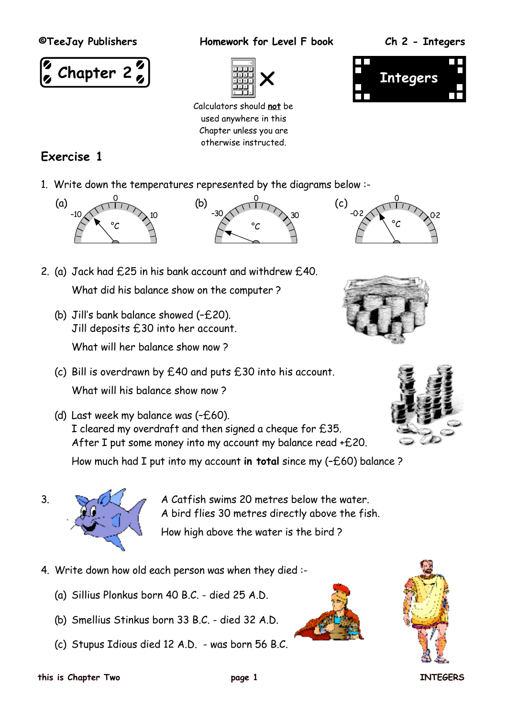

**©TeeJay Publishers Homework for Level F book Ch 2 - Integers**



Calculators should **not** be used anywhere in this Chapter unless you are otherwise instructed.



## **Exercise 1**

1. Write down the temperatures represented by the diagrams below :-





- 2. (a) Jack had £25 in his bank account and withdrew £40. What did his balance show on the computer ?
	- (b) Jill's bank balance showed (–£20). Jill deposits £30 into her account. What will her balance show now 2
	- (c) Bill is overdrawn by £40 and puts £30 into his account. What will his balance show now ?
	- (d) Last week my balance was (–£60). I cleared my overdraft and then signed a cheque for £35. After I put some money into my account my balance read +£20.

How much had I put into my account **in total** since my (–£60) balance ?



3.  $\mathbb{R}$  a Catfish swims 20 metres below the water. A bird flies 30 metres directly above the fish. How high above the water is the bird ?

- 4. Write down how old each person was when they died :-
	- (a) Sillius Plonkus born 40 B.C. died 25 A.D.
	- (b) Smellius Stinkus born 33 B.C. died 32 A.D.
	- (c) Stupus Idious died 12 A.D. was born 56 B.C.











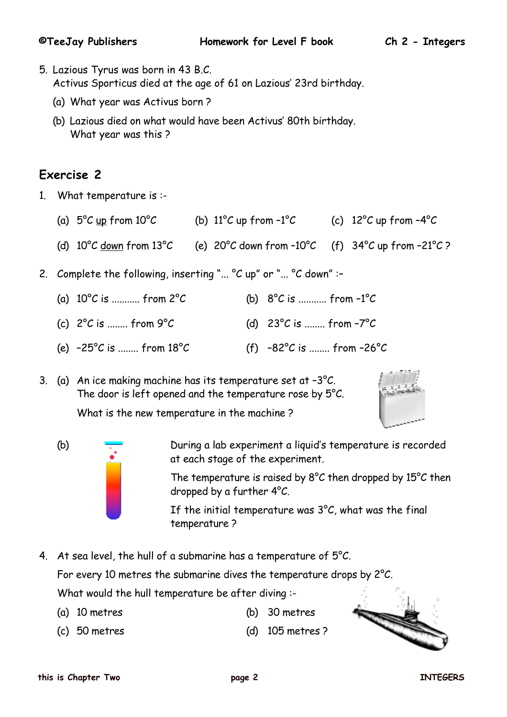- 5. Lazious Tyrus was born in 43 B.C. Activus Sporticus died at the age of 61 on Lazious' 23rd birthday.
	- (a) What year was Activus born ?
	- (b) Lazious died on what would have been Activus' 80th birthday. What year was this ?

### **Exercise 2**

- 1. What temperature is :-
	- (a)  $5^{\circ}$ C up from 10°C (b) 11°C up from -1°C (c) 12°C up from -4°C
	- (d)  $10^{\circ}$ C down from  $13^{\circ}$ C (e)  $20^{\circ}$ C down from - $10^{\circ}$ C (f)  $34^{\circ}$ C up from - $21^{\circ}$ C ?
- 2. Complete the following, inserting "...  $\textdegree$ C up" or "...  $\textdegree$ C down" :-
	- (a)  $10^{\circ}$ C is ........... from  $2^{\circ}$ C (b)  $8^{\circ}$ C is ........... from  $-1^{\circ}$ C (c)  $2^{\circ}$ C is ........ from  $9^{\circ}$ C (d)  $23^{\circ}$ C is ........ from  $-7^{\circ}$ C
	- (e)  $-25^{\circ}$ C is ........ from  $18^{\circ}$ C (f)  $-82^{\circ}$ C is ........ from  $-26^{\circ}$ C

3. (a) An ice making machine has its temperature set at –3°C. The door is left opened and the temperature rose by 5°C.



What is the new temperature in the machine ?



(b) During a lab experiment a liquid's temperature is recorded at each stage of the experiment.

> The temperature is raised by 8°C then dropped by 15°C then dropped by a further 4°C.

If the initial temperature was  $3^{\circ}$ C, what was the final temperature ?

- 4. At sea level, the hull of a submarine has a temperature of  $5^{\circ}$ C. For every 10 metres the submarine dives the temperature drops by 2°C. What would the hull temperature be after diving :-
	- (a) 10 metres (b) 30 metres
		-
	- (c) 50 metres (d) 105 metres ?

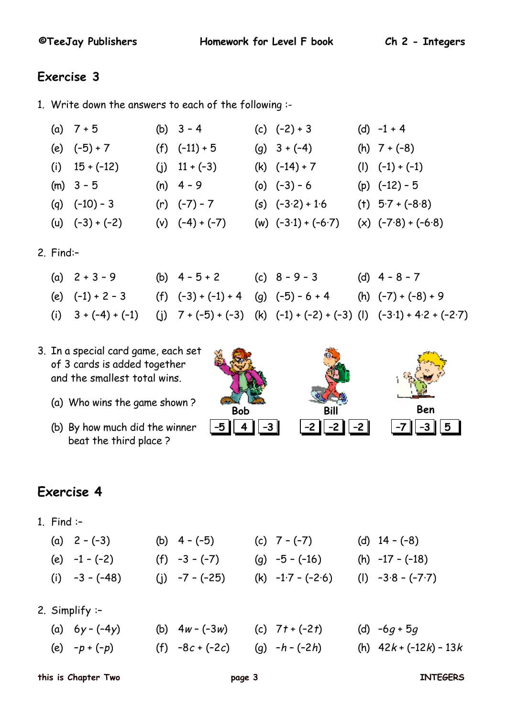### **Exercise 3**

- 1. Write down the answers to each of the following :-
	- (a)  $7+5$  (b)  $3-4$  (c)  $(-2)+3$  (d)  $-1+4$ (e)  $(-5) + 7$  (f)  $(-11) + 5$  (g)  $3 + (-4)$  (h)  $7 + (-8)$ (i)  $15 + (-12)$  (j)  $11 + (-3)$  (k)  $(-14) + 7$  (l)  $(-1) + (-1)$ (m)  $3 - 5$  (n)  $4 - 9$  (o)  $(-3) - 6$  (p)  $(-12) - 5$ (q)  $(-10) - 3$  (r)  $(-7) - 7$  (s)  $(-3.2) + 1.6$  (t)  $5.7 + (-8.8)$ (u)  $(-3) + (-2)$  (v)  $(-4) + (-7)$  (w)  $(-3.1) + (-6.7)$  (x)  $(-7.8) + (-6.8)$
- 2. Find:–
	- (a)  $2 + 3 9$  (b)  $4 5 + 2$  (c)  $8 9 3$  (d)  $4 8 7$ (e)  $(-1) + 2 - 3$  (f)  $(-3) + (-1) + 4$  (g)  $(-5) - 6 + 4$  (h)  $(-7) + (-8) + 9$ (i)  $3 + (-4) + (-1)$  (j)  $7 + (-5) + (-3)$  (k)  $(-1) + (-2) + (-3)$  (l)  $(-3.1) + 4.2 + (-2.7)$
- 3. In a special card game, each set of 3 cards is added together and the smallest total wins.
	- (a) Who wins the game shown ?
	- (b) By how much did the winner beat the third place ?



# **Exercise 4**

1. Find :–

 $2.$ 

|           | (a) $2 - (-3)$<br>(e) $-1 - (-2)$<br>(i) $-3 - (-48)$ |  | (b) $4 - (-5)$<br>$(f) -3 - (-7)$<br>(j) $-7 - (-25)$ |  | (c) $7 - (-7)$<br>(g) $-5 - (-16)$<br>(k) $-1.7 - (-2.6)$ |  | (d) $14 - (-8)$<br>(h) $-17 - (-18)$<br>(1) $-3.8 - (-7.7)$ |  |  |  |
|-----------|-------------------------------------------------------|--|-------------------------------------------------------|--|-----------------------------------------------------------|--|-------------------------------------------------------------|--|--|--|
| Simplify: |                                                       |  |                                                       |  |                                                           |  |                                                             |  |  |  |
|           | (a) $6y - (-4y)$                                      |  | (b) $4w - (-3w)$                                      |  | (c) $7t + (-2t)$                                          |  | (d) $-6g + 5g$                                              |  |  |  |
|           | (e) $-p + (-p)$                                       |  | $(f) -8c + (-2c)$                                     |  | (g) $-h - (-2h)$                                          |  | (h) $42k + (-12k) - 13k$                                    |  |  |  |

**this is Chapter Two page 3 INTEGERS**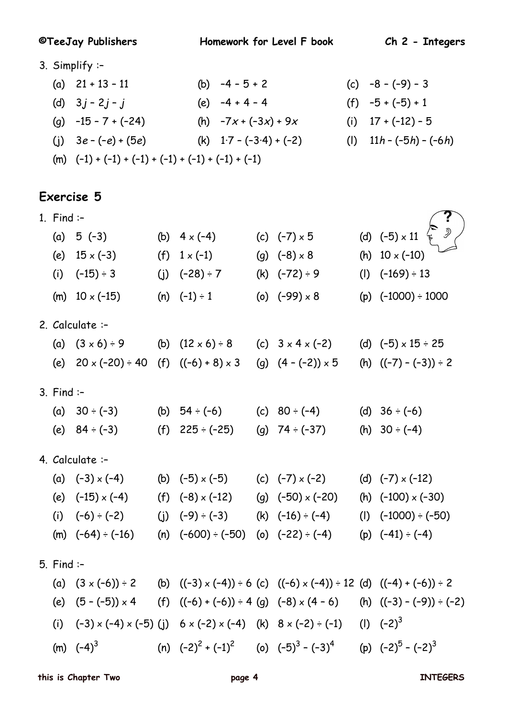**©TeeJay Publishers Homework for Level F book Ch 2 - Integers**

- 3. Simplify :–
	- (a)  $21 + 13 11$  (b)  $-4 5 + 2$  (c)  $-8 (-9) 3$ (d)  $3j - 2j - j$  (e)  $-4 + 4 - 4$  (f)  $-5 + (-5) + 1$ (g)  $-15 - 7 + (-24)$  (h)  $-7x + (-3x) + 9x$  (i)  $17 + (-12) - 5$ (i)  $3e - (-e) + (5e)$  (k)  $1 \cdot 7 - (-3 \cdot 4) + (-2)$  (l)  $11h - (-5h) - (-6h)$  $(m)$   $(-1) + (-1) + (-1) + (-1) + (-1) + (-1) + (-1)$

#### **Exercise 5**

- 1. Find :– (a) 5 (-3) (b)  $4 \times (-4)$  (c) (-7)  $\times$  5 (d) (-5)  $\times$  11 (e)  $15 \times (-3)$  (f)  $1 \times (-1)$  (g)  $(-8) \times 8$  (h)  $10 \times (-10)$ (i)  $(-15) \div 3$  (i)  $(-28) \div 7$  (k)  $(-72) \div 9$  (l)  $(-169) \div 13$ (m)  $10 \times (-15)$  (n)  $(-1) \div 1$  (o)  $(-99) \times 8$  (p)  $(-1000) \div 1000$ **?**
- 2. Calculate :–
	- (a)  $(3 \times 6) \div 9$  (b)  $(12 \times 6) \div 8$  (c)  $3 \times 4 \times (-2)$  (d)  $(-5) \times 15 \div 25$ (e)  $20 \times (-20) \div 40$  (f)  $((-6) + 8) \times 3$  (g)  $(4 - (-2)) \times 5$  (h)  $((-7) - (-3)) \div 2$
- 3. Find :–
	- (a)  $30 \div (-3)$  (b)  $54 \div (-6)$  (c)  $80 \div (-4)$  (d)  $36 \div (-6)$ (e)  $84 \div (-3)$  (f)  $225 \div (-25)$  (g)  $74 \div (-37)$  (h)  $30 \div (-4)$
- 4. Calculate :–
	- (a)  $(-3) \times (-4)$  (b)  $(-5) \times (-5)$  (c)  $(-7) \times (-2)$  (d)  $(-7) \times (-12)$ (e)  $(-15) \times (-4)$  (f)  $(-8) \times (-12)$  (g)  $(-50) \times (-20)$  (h)  $(-100) \times (-30)$ (i)  $(-6) \div (-2)$  (j)  $(-9) \div (-3)$  (k)  $(-16) \div (-4)$  (l)  $(-1000) \div (-50)$ (m)  $(-64) \div (-16)$  (n)  $(-600) \div (-50)$  (o)  $(-22) \div (-4)$  (p)  $(-41) \div (-4)$
- 5. Find :–
	- (a)  $(3 \times (-6)) \div 2$  (b)  $((-3) \times (-4)) \div 6$  (c)  $((-6) \times (-4)) \div 12$  (d)  $((-4) + (-6)) \div 2$ (e)  $(5 - (-5)) \times 4$  (f)  $((-6) + (-6)) \div 4$  (g)  $(-8) \times (4 - 6)$  (h)  $((-3) - (-9)) \div (-2)$ (i)  $(-3) \times (-4) \times (-5)$  (j)  $6 \times (-2) \times (-4)$  (k)  $8 \times (-2) \div (-1)$  (l)  $(-2)^3$ (m)  $(-4)^3$  (n)  $(-2)^2 + (-1)^2$  (o)  $(-5)^3 - (-3)^4$  (p)  $(-2)^5 - (-2)^3$

**this is Chapter Two page 4 INTEGERS**